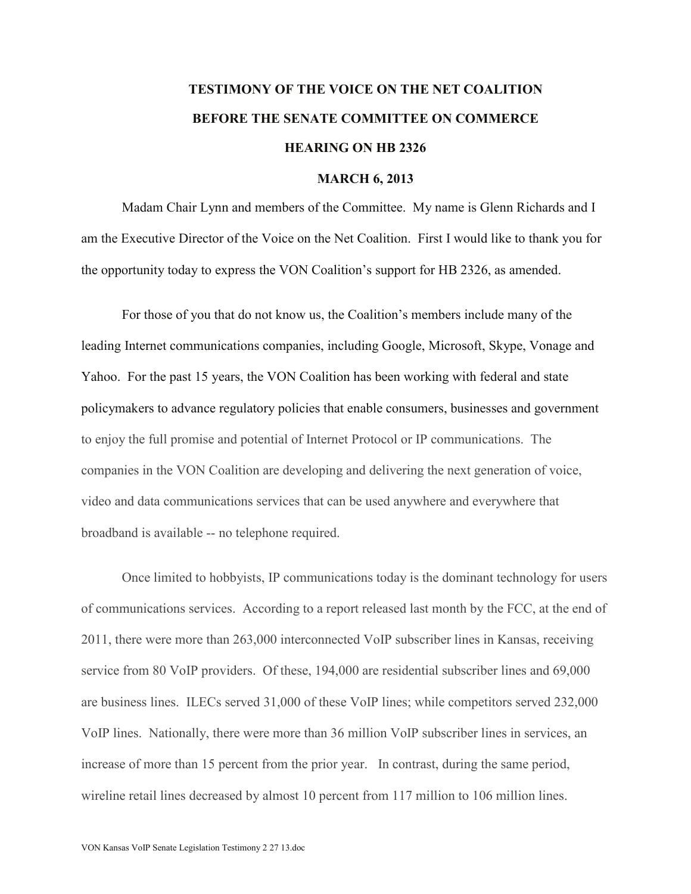## **TESTIMONY OF THE VOICE ON THE NET COALITION BEFORE THE SENATE COMMITTEE ON COMMERCE HEARING ON HB 2326**

## **MARCH 6, 2013**

Madam Chair Lynn and members of the Committee. My name is Glenn Richards and I am the Executive Director of the Voice on the Net Coalition. First I would like to thank you for the opportunity today to express the VON Coalition's support for HB 2326, as amended.

For those of you that do not know us, the Coalition's members include many of the leading Internet communications companies, including Google, Microsoft, Skype, Vonage and Yahoo. For the past 15 years, the VON Coalition has been working with federal and state policymakers to advance regulatory policies that enable consumers, businesses and government to enjoy the full promise and potential of Internet Protocol or IP communications. The companies in the VON Coalition are developing and delivering the next generation of voice, video and data communications services that can be used anywhere and everywhere that broadband is available -- no telephone required.

Once limited to hobbyists, IP communications today is the dominant technology for users of communications services. According to a report released last month by the FCC, at the end of 2011, there were more than 263,000 interconnected VoIP subscriber lines in Kansas, receiving service from 80 VoIP providers. Of these, 194,000 are residential subscriber lines and 69,000 are business lines. ILECs served 31,000 of these VoIP lines; while competitors served 232,000 VoIP lines. Nationally, there were more than 36 million VoIP subscriber lines in services, an increase of more than 15 percent from the prior year. In contrast, during the same period, wireline retail lines decreased by almost 10 percent from 117 million to 106 million lines.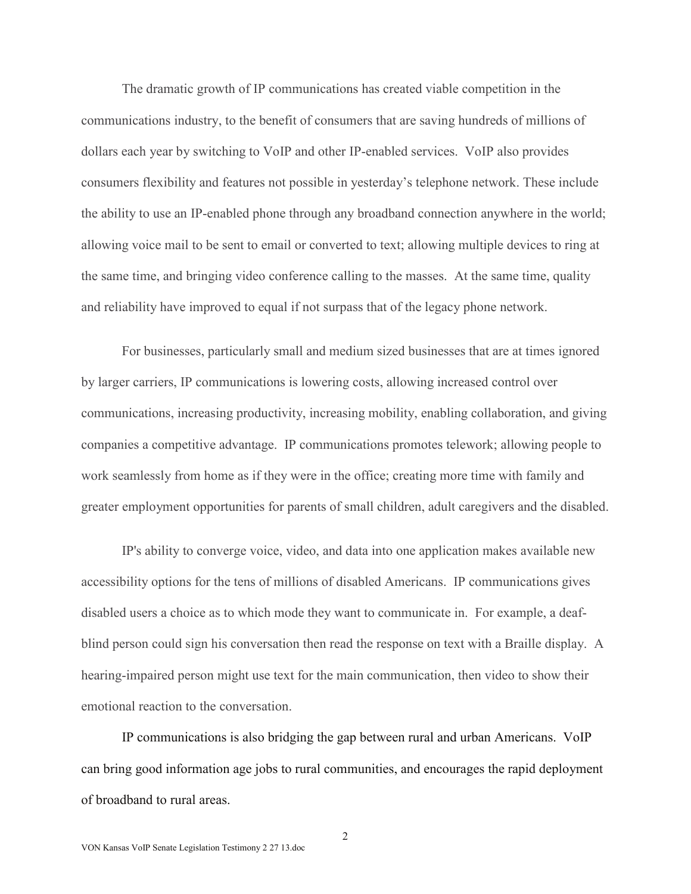The dramatic growth of IP communications has created viable competition in the communications industry, to the benefit of consumers that are saving hundreds of millions of dollars each year by switching to VoIP and other IP-enabled services. VoIP also provides consumers flexibility and features not possible in yesterday's telephone network. These include the ability to use an IP-enabled phone through any broadband connection anywhere in the world; allowing voice mail to be sent to email or converted to text; allowing multiple devices to ring at the same time, and bringing video conference calling to the masses. At the same time, quality and reliability have improved to equal if not surpass that of the legacy phone network.

For businesses, particularly small and medium sized businesses that are at times ignored by larger carriers, IP communications is lowering costs, allowing increased control over communications, increasing productivity, increasing mobility, enabling collaboration, and giving companies a competitive advantage. IP communications promotes telework; allowing people to work seamlessly from home as if they were in the office; creating more time with family and greater employment opportunities for parents of small children, adult caregivers and the disabled.

IP's ability to converge voice, video, and data into one application makes available new accessibility options for the tens of millions of disabled Americans. IP communications gives disabled users a choice as to which mode they want to communicate in. For example, a deafblind person could sign his conversation then read the response on text with a Braille display. A hearing-impaired person might use text for the main communication, then video to show their emotional reaction to the conversation.

IP communications is also bridging the gap between rural and urban Americans. VoIP can bring good information age jobs to rural communities, and encourages the rapid deployment of broadband to rural areas.

2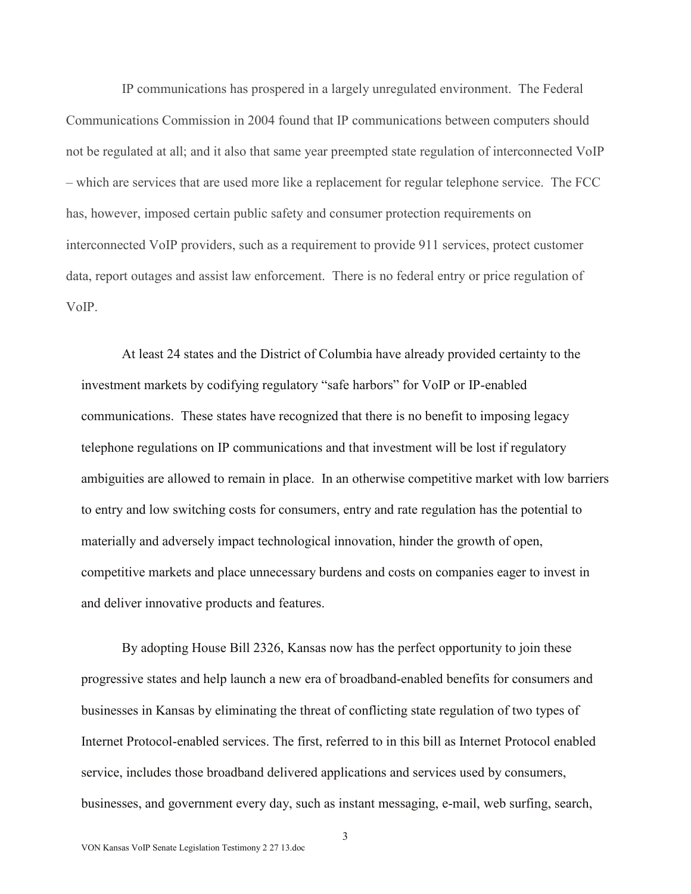IP communications has prospered in a largely unregulated environment. The Federal Communications Commission in 2004 found that IP communications between computers should not be regulated at all; and it also that same year preempted state regulation of interconnected VoIP – which are services that are used more like a replacement for regular telephone service. The FCC has, however, imposed certain public safety and consumer protection requirements on interconnected VoIP providers, such as a requirement to provide 911 services, protect customer data, report outages and assist law enforcement. There is no federal entry or price regulation of VoIP.

At least 24 states and the District of Columbia have already provided certainty to the investment markets by codifying regulatory "safe harbors" for VoIP or IP-enabled communications. These states have recognized that there is no benefit to imposing legacy telephone regulations on IP communications and that investment will be lost if regulatory ambiguities are allowed to remain in place. In an otherwise competitive market with low barriers to entry and low switching costs for consumers, entry and rate regulation has the potential to materially and adversely impact technological innovation, hinder the growth of open, competitive markets and place unnecessary burdens and costs on companies eager to invest in and deliver innovative products and features.

By adopting House Bill 2326, Kansas now has the perfect opportunity to join these progressive states and help launch a new era of broadband-enabled benefits for consumers and businesses in Kansas by eliminating the threat of conflicting state regulation of two types of Internet Protocol-enabled services. The first, referred to in this bill as Internet Protocol enabled service, includes those broadband delivered applications and services used by consumers, businesses, and government every day, such as instant messaging, e-mail, web surfing, search,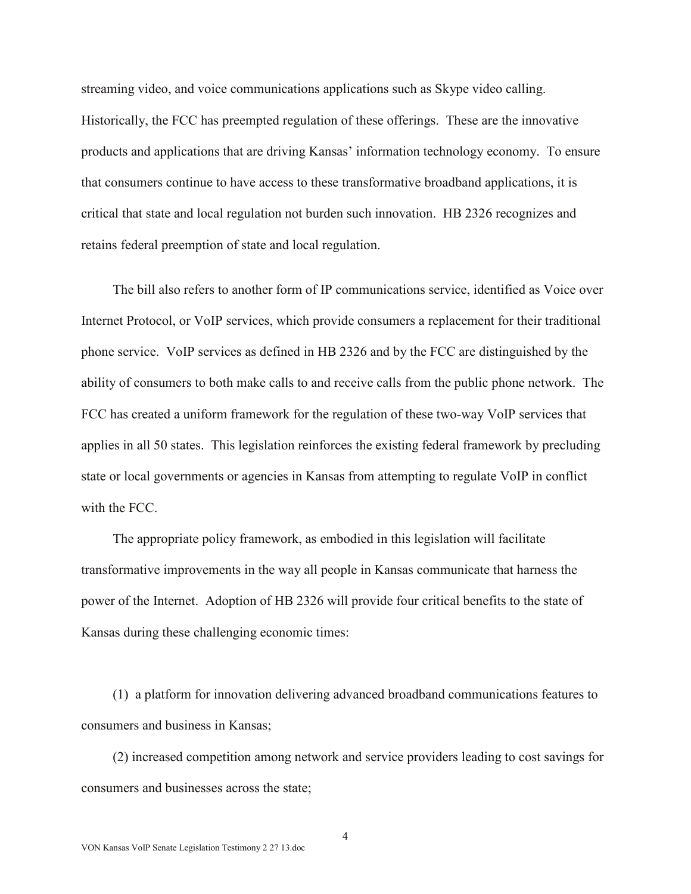streaming video, and voice communications applications such as Skype video calling. Historically, the FCC has preempted regulation of these offerings. These are the innovative products and applications that are driving Kansas' information technology economy. To ensure that consumers continue to have access to these transformative broadband applications, it is critical that state and local regulation not burden such innovation. HB 2326 recognizes and retains federal preemption of state and local regulation.

The bill also refers to another form of IP communications service, identified as Voice over Internet Protocol, or VoIP services, which provide consumers a replacement for their traditional phone service. VoIP services as defined in HB 2326 and by the FCC are distinguished by the ability of consumers to both make calls to and receive calls from the public phone network. The FCC has created a uniform framework for the regulation of these two-way VoIP services that applies in all 50 states. This legislation reinforces the existing federal framework by precluding state or local governments or agencies in Kansas from attempting to regulate VoIP in conflict with the FCC.

The appropriate policy framework, as embodied in this legislation will facilitate transformative improvements in the way all people in Kansas communicate that harness the power of the Internet. Adoption of HB 2326 will provide four critical benefits to the state of Kansas during these challenging economic times:

(1) a platform for innovation delivering advanced broadband communications features to consumers and business in Kansas;

(2) increased competition among network and service providers leading to cost savings for consumers and businesses across the state;

4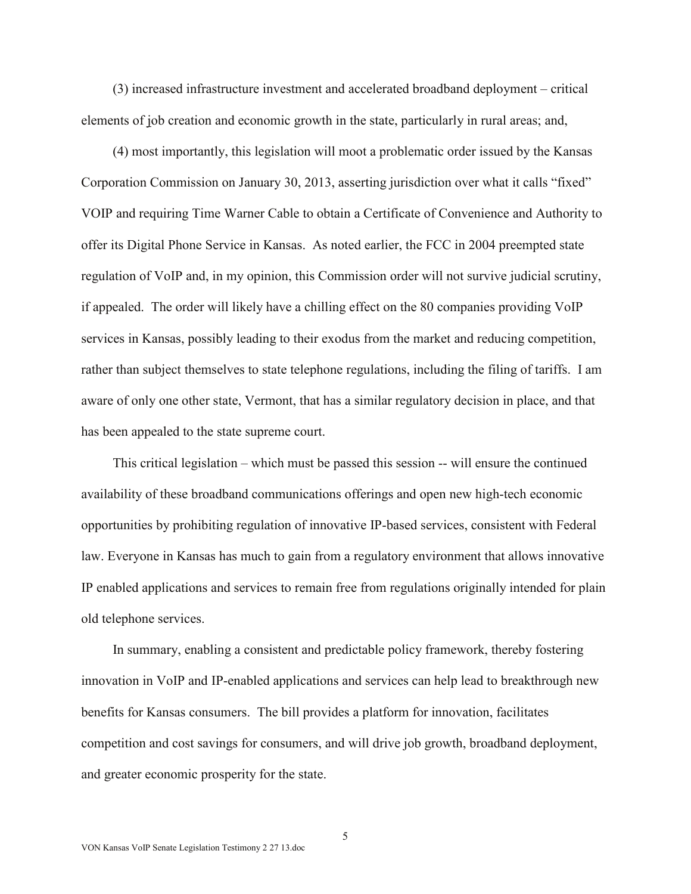(3) increased infrastructure investment and accelerated broadband deployment – critical elements of job creation and economic growth in the state, particularly in rural areas; and,

(4) most importantly, this legislation will moot a problematic order issued by the Kansas Corporation Commission on January 30, 2013, asserting jurisdiction over what it calls "fixed" VOIP and requiring Time Warner Cable to obtain a Certificate of Convenience and Authority to offer its Digital Phone Service in Kansas. As noted earlier, the FCC in 2004 preempted state regulation of VoIP and, in my opinion, this Commission order will not survive judicial scrutiny, if appealed. The order will likely have a chilling effect on the 80 companies providing VoIP services in Kansas, possibly leading to their exodus from the market and reducing competition, rather than subject themselves to state telephone regulations, including the filing of tariffs. I am aware of only one other state, Vermont, that has a similar regulatory decision in place, and that has been appealed to the state supreme court.

This critical legislation – which must be passed this session -- will ensure the continued availability of these broadband communications offerings and open new high-tech economic opportunities by prohibiting regulation of innovative IP-based services, consistent with Federal law. Everyone in Kansas has much to gain from a regulatory environment that allows innovative IP enabled applications and services to remain free from regulations originally intended for plain old telephone services.

In summary, enabling a consistent and predictable policy framework, thereby fostering innovation in VoIP and IP-enabled applications and services can help lead to breakthrough new benefits for Kansas consumers. The bill provides a platform for innovation, facilitates competition and cost savings for consumers, and will drive job growth, broadband deployment, and greater economic prosperity for the state.

5